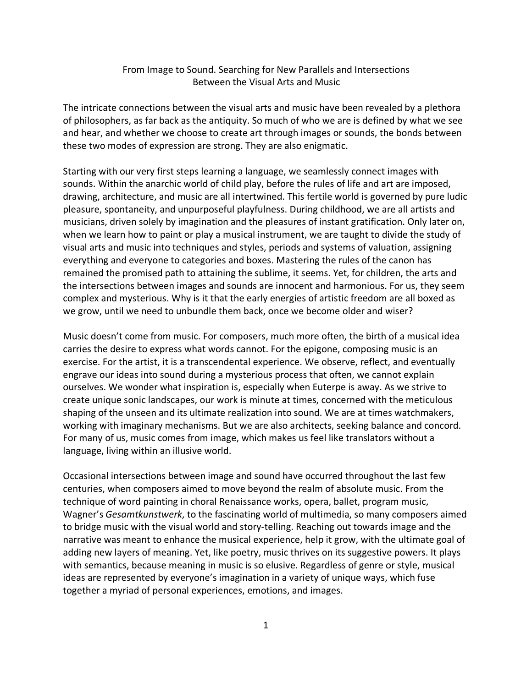## From Image to Sound. Searching for New Parallels and Intersections Between the Visual Arts and Music

The intricate connections between the visual arts and music have been revealed by a plethora of philosophers, as far back as the antiquity. So much of who we are is defined by what we see and hear, and whether we choose to create art through images or sounds, the bonds between these two modes of expression are strong. They are also enigmatic.

Starting with our very first steps learning a language, we seamlessly connect images with sounds. Within the anarchic world of child play, before the rules of life and art are imposed, drawing, architecture, and music are all intertwined. This fertile world is governed by pure ludic pleasure, spontaneity, and unpurposeful playfulness. During childhood, we are all artists and musicians, driven solely by imagination and the pleasures of instant gratification. Only later on, when we learn how to paint or play a musical instrument, we are taught to divide the study of visual arts and music into techniques and styles, periods and systems of valuation, assigning everything and everyone to categories and boxes. Mastering the rules of the canon has remained the promised path to attaining the sublime, it seems. Yet, for children, the arts and the intersections between images and sounds are innocent and harmonious. For us, they seem complex and mysterious. Why is it that the early energies of artistic freedom are all boxed as we grow, until we need to unbundle them back, once we become older and wiser?

Music doesn't come from music. For composers, much more often, the birth of a musical idea carries the desire to express what words cannot. For the epigone, composing music is an exercise. For the artist, it is a transcendental experience. We observe, reflect, and eventually engrave our ideas into sound during a mysterious process that often, we cannot explain ourselves. We wonder what inspiration is, especially when Euterpe is away. As we strive to create unique sonic landscapes, our work is minute at times, concerned with the meticulous shaping of the unseen and its ultimate realization into sound. We are at times watchmakers, working with imaginary mechanisms. But we are also architects, seeking balance and concord. For many of us, music comes from image, which makes us feel like translators without a language, living within an illusive world.

Occasional intersections between image and sound have occurred throughout the last few centuries, when composers aimed to move beyond the realm of absolute music. From the technique of word painting in choral Renaissance works, opera, ballet, program music, Wagner's *Gesamtkunstwerk*, to the fascinating world of multimedia, so many composers aimed to bridge music with the visual world and story-telling. Reaching out towards image and the narrative was meant to enhance the musical experience, help it grow, with the ultimate goal of adding new layers of meaning. Yet, like poetry, music thrives on its suggestive powers. It plays with semantics, because meaning in music is so elusive. Regardless of genre or style, musical ideas are represented by everyone's imagination in a variety of unique ways, which fuse together a myriad of personal experiences, emotions, and images.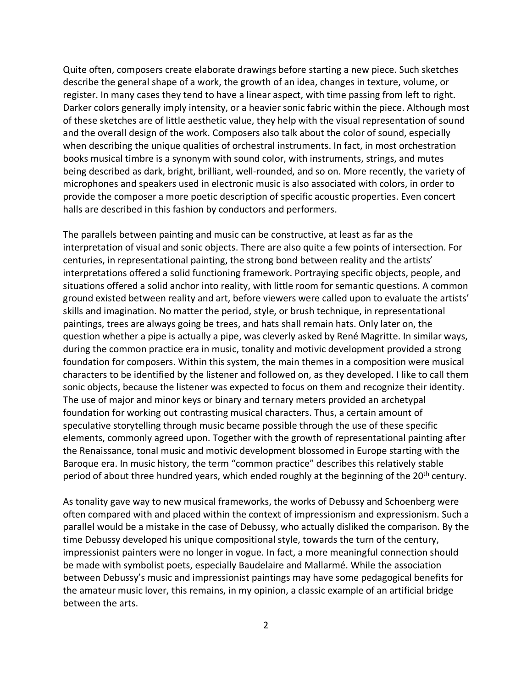Quite often, composers create elaborate drawings before starting a new piece. Such sketches describe the general shape of a work, the growth of an idea, changes in texture, volume, or register. In many cases they tend to have a linear aspect, with time passing from left to right. Darker colors generally imply intensity, or a heavier sonic fabric within the piece. Although most of these sketches are of little aesthetic value, they help with the visual representation of sound and the overall design of the work. Composers also talk about the color of sound, especially when describing the unique qualities of orchestral instruments. In fact, in most orchestration books musical timbre is a synonym with sound color, with instruments, strings, and mutes being described as dark, bright, brilliant, well-rounded, and so on. More recently, the variety of microphones and speakers used in electronic music is also associated with colors, in order to provide the composer a more poetic description of specific acoustic properties. Even concert halls are described in this fashion by conductors and performers.

The parallels between painting and music can be constructive, at least as far as the interpretation of visual and sonic objects. There are also quite a few points of intersection. For centuries, in representational painting, the strong bond between reality and the artists' interpretations offered a solid functioning framework. Portraying specific objects, people, and situations offered a solid anchor into reality, with little room for semantic questions. A common ground existed between reality and art, before viewers were called upon to evaluate the artists' skills and imagination. No matter the period, style, or brush technique, in representational paintings, trees are always going be trees, and hats shall remain hats. Only later on, the question whether a pipe is actually a pipe, was cleverly asked by René Magritte. In similar ways, during the common practice era in music, tonality and motivic development provided a strong foundation for composers. Within this system, the main themes in a composition were musical characters to be identified by the listener and followed on, as they developed. I like to call them sonic objects, because the listener was expected to focus on them and recognize their identity. The use of major and minor keys or binary and ternary meters provided an archetypal foundation for working out contrasting musical characters. Thus, a certain amount of speculative storytelling through music became possible through the use of these specific elements, commonly agreed upon. Together with the growth of representational painting after the Renaissance, tonal music and motivic development blossomed in Europe starting with the Baroque era. In music history, the term "common practice" describes this relatively stable period of about three hundred years, which ended roughly at the beginning of the 20<sup>th</sup> century.

As tonality gave way to new musical frameworks, the works of Debussy and Schoenberg were often compared with and placed within the context of impressionism and expressionism. Such a parallel would be a mistake in the case of Debussy, who actually disliked the comparison. By the time Debussy developed his unique compositional style, towards the turn of the century, impressionist painters were no longer in vogue. In fact, a more meaningful connection should be made with symbolist poets, especially Baudelaire and Mallarmé. While the association between Debussy's music and impressionist paintings may have some pedagogical benefits for the amateur music lover, this remains, in my opinion, a classic example of an artificial bridge between the arts.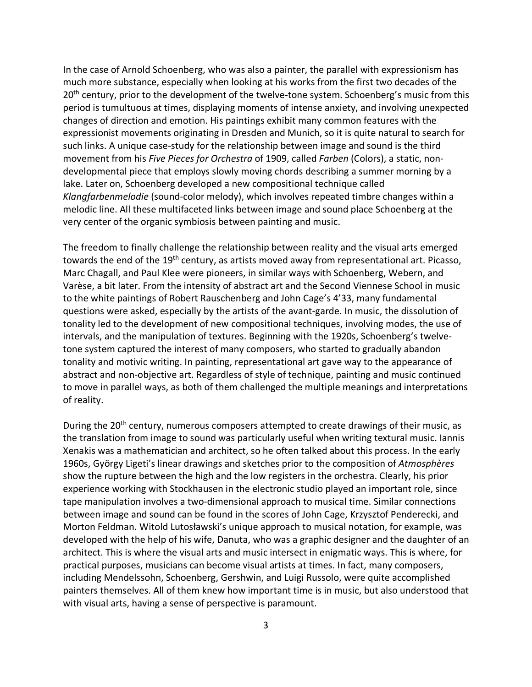In the case of Arnold Schoenberg, who was also a painter, the parallel with expressionism has much more substance, especially when looking at his works from the first two decades of the 20<sup>th</sup> century, prior to the development of the twelve-tone system. Schoenberg's music from this period is tumultuous at times, displaying moments of intense anxiety, and involving unexpected changes of direction and emotion. His paintings exhibit many common features with the expressionist movements originating in Dresden and Munich, so it is quite natural to search for such links. A unique case-study for the relationship between image and sound is the third movement from his *Five Pieces for Orchestra* of 1909, called *Farben* (Colors), a static, nondevelopmental piece that employs slowly moving chords describing a summer morning by a lake. Later on, Schoenberg developed a new compositional technique called *Klangfarbenmelodie* (sound-color melody), which involves repeated timbre changes within a melodic line. All these multifaceted links between image and sound place Schoenberg at the very center of the organic symbiosis between painting and music.

The freedom to finally challenge the relationship between reality and the visual arts emerged towards the end of the 19th century, as artists moved away from representational art. Picasso, Marc Chagall, and Paul Klee were pioneers, in similar ways with Schoenberg, Webern, and Varèse, a bit later. From the intensity of abstract art and the Second Viennese School in music to the white paintings of Robert Rauschenberg and John Cage's 4'33, many fundamental questions were asked, especially by the artists of the avant-garde. In music, the dissolution of tonality led to the development of new compositional techniques, involving modes, the use of intervals, and the manipulation of textures. Beginning with the 1920s, Schoenberg's twelvetone system captured the interest of many composers, who started to gradually abandon tonality and motivic writing. In painting, representational art gave way to the appearance of abstract and non-objective art. Regardless of style of technique, painting and music continued to move in parallel ways, as both of them challenged the multiple meanings and interpretations of reality.

During the 20<sup>th</sup> century, numerous composers attempted to create drawings of their music, as the translation from image to sound was particularly useful when writing textural music. Iannis Xenakis was a mathematician and architect, so he often talked about this process. In the early 1960s, György Ligeti's linear drawings and sketches prior to the composition of *Atmosphères* show the rupture between the high and the low registers in the orchestra. Clearly, his prior experience working with Stockhausen in the electronic studio played an important role, since tape manipulation involves a two-dimensional approach to musical time. Similar connections between image and sound can be found in the scores of John Cage, Krzysztof Penderecki, and Morton Feldman. Witold Lutosławski's unique approach to musical notation, for example, was developed with the help of his wife, Danuta, who was a graphic designer and the daughter of an architect. This is where the visual arts and music intersect in enigmatic ways. This is where, for practical purposes, musicians can become visual artists at times. In fact, many composers, including Mendelssohn, Schoenberg, Gershwin, and Luigi Russolo, were quite accomplished painters themselves. All of them knew how important time is in music, but also understood that with visual arts, having a sense of perspective is paramount.